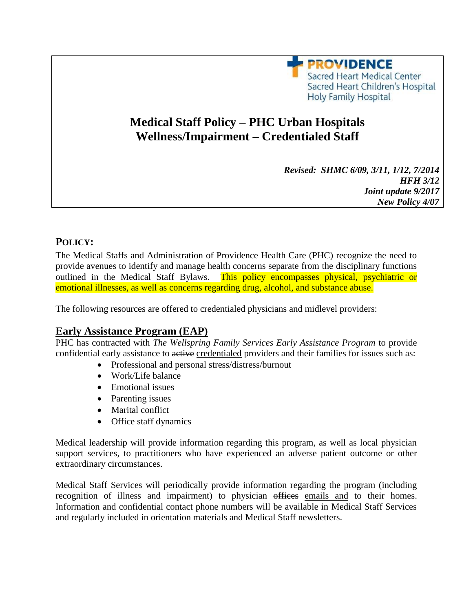

# **Medical Staff Policy – PHC Urban Hospitals Wellness/Impairment – Credentialed Staff**

| Revised: SHMC 6/09, 3/11, 1/12, 7/2014 |
|----------------------------------------|
| <b>HFH 3/12</b>                        |
| Joint update 9/2017                    |
| <b>New Policy 4/07</b>                 |

## **POLICY:**

The Medical Staffs and Administration of Providence Health Care (PHC) recognize the need to provide avenues to identify and manage health concerns separate from the disciplinary functions outlined in the Medical Staff Bylaws. This policy encompasses physical, psychiatric or emotional illnesses, as well as concerns regarding drug, alcohol, and substance abuse.

The following resources are offered to credentialed physicians and midlevel providers:

## **Early Assistance Program (EAP)**

PHC has contracted with *The Wellspring Family Services Early Assistance Program* to provide confidential early assistance to active credentialed providers and their families for issues such as:

- Professional and personal stress/distress/burnout
- Work/Life balance
- Emotional issues
- Parenting issues
- Marital conflict
- Office staff dynamics

Medical leadership will provide information regarding this program, as well as local physician support services, to practitioners who have experienced an adverse patient outcome or other extraordinary circumstances.

Medical Staff Services will periodically provide information regarding the program (including recognition of illness and impairment) to physician offices emails and to their homes. Information and confidential contact phone numbers will be available in Medical Staff Services and regularly included in orientation materials and Medical Staff newsletters.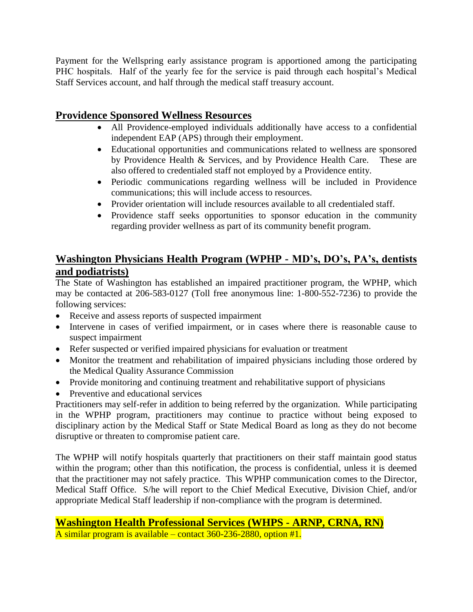Payment for the Wellspring early assistance program is apportioned among the participating PHC hospitals. Half of the yearly fee for the service is paid through each hospital's Medical Staff Services account, and half through the medical staff treasury account.

# **Providence Sponsored Wellness Resources**

- All Providence-employed individuals additionally have access to a confidential independent EAP (APS) through their employment.
- Educational opportunities and communications related to wellness are sponsored by Providence Health & Services, and by Providence Health Care. These are also offered to credentialed staff not employed by a Providence entity.
- Periodic communications regarding wellness will be included in Providence communications; this will include access to resources.
- Provider orientation will include resources available to all credentialed staff.
- Providence staff seeks opportunities to sponsor education in the community regarding provider wellness as part of its community benefit program.

# **Washington Physicians Health Program (WPHP - MD's, DO's, PA's, dentists and podiatrists)**

The State of Washington has established an impaired practitioner program, the WPHP, which may be contacted at 206-583-0127 (Toll free anonymous line: 1-800-552-7236) to provide the following services:

- Receive and assess reports of suspected impairment
- Intervene in cases of verified impairment, or in cases where there is reasonable cause to suspect impairment
- Refer suspected or verified impaired physicians for evaluation or treatment
- Monitor the treatment and rehabilitation of impaired physicians including those ordered by the Medical Quality Assurance Commission
- Provide monitoring and continuing treatment and rehabilitative support of physicians
- Preventive and educational services

Practitioners may self-refer in addition to being referred by the organization. While participating in the WPHP program, practitioners may continue to practice without being exposed to disciplinary action by the Medical Staff or State Medical Board as long as they do not become disruptive or threaten to compromise patient care.

The WPHP will notify hospitals quarterly that practitioners on their staff maintain good status within the program; other than this notification, the process is confidential, unless it is deemed that the practitioner may not safely practice. This WPHP communication comes to the Director, Medical Staff Office. S/he will report to the Chief Medical Executive, Division Chief, and/or appropriate Medical Staff leadership if non-compliance with the program is determined.

**Washington Health Professional Services (WHPS - ARNP, CRNA, RN)** A similar program is available – contact 360-236-2880, option #1.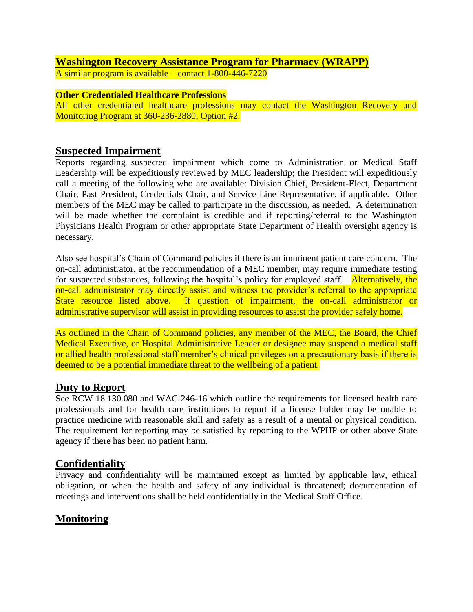# **Washington Recovery Assistance Program for Pharmacy (WRAPP)**

A similar program is available – contact 1-800-446-7220

#### **Other Credentialed Healthcare Professions**

All other credentialed healthcare professions may contact the Washington Recovery and Monitoring Program at 360-236-2880, Option #2.

#### **Suspected Impairment**

Reports regarding suspected impairment which come to Administration or Medical Staff Leadership will be expeditiously reviewed by MEC leadership; the President will expeditiously call a meeting of the following who are available: Division Chief, President-Elect, Department Chair, Past President, Credentials Chair, and Service Line Representative, if applicable. Other members of the MEC may be called to participate in the discussion, as needed. A determination will be made whether the complaint is credible and if reporting/referral to the Washington Physicians Health Program or other appropriate State Department of Health oversight agency is necessary.

Also see hospital's Chain of Command policies if there is an imminent patient care concern. The on-call administrator, at the recommendation of a MEC member, may require immediate testing for suspected substances, following the hospital's policy for employed staff. Alternatively, the on-call administrator may directly assist and witness the provider's referral to the appropriate State resource listed above. If question of impairment, the on-call administrator or administrative supervisor will assist in providing resources to assist the provider safely home.

As outlined in the Chain of Command policies, any member of the MEC, the Board, the Chief Medical Executive, or Hospital Administrative Leader or designee may suspend a medical staff or allied health professional staff member's clinical privileges on a precautionary basis if there is deemed to be a potential immediate threat to the wellbeing of a patient.

#### **Duty to Report**

See RCW 18.130.080 and WAC 246-16 which outline the requirements for licensed health care professionals and for health care institutions to report if a license holder may be unable to practice medicine with reasonable skill and safety as a result of a mental or physical condition. The requirement for reporting may be satisfied by reporting to the WPHP or other above State agency if there has been no patient harm.

## **Confidentiality**

Privacy and confidentiality will be maintained except as limited by applicable law, ethical obligation, or when the health and safety of any individual is threatened; documentation of meetings and interventions shall be held confidentially in the Medical Staff Office.

# **Monitoring**